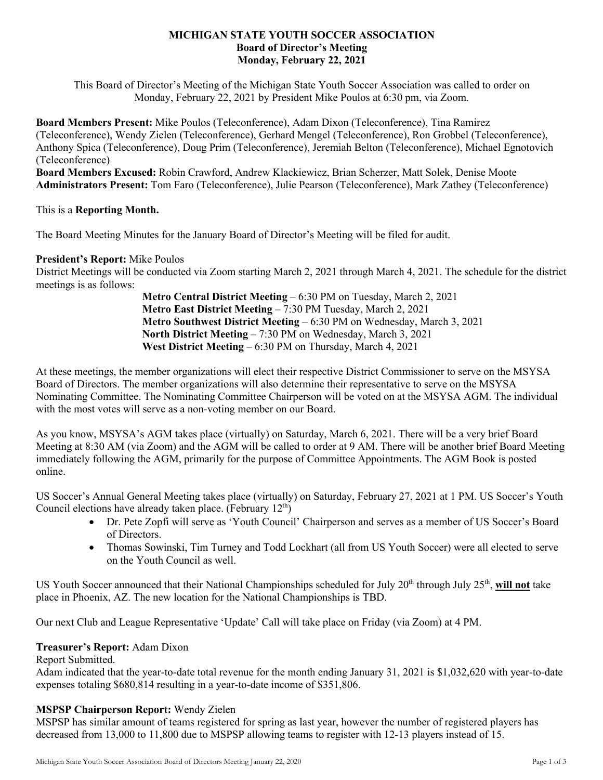#### **MICHIGAN STATE YOUTH SOCCER ASSOCIATION Board of Director's Meeting Monday, February 22, 2021**

This Board of Director's Meeting of the Michigan State Youth Soccer Association was called to order on Monday, February 22, 2021 by President Mike Poulos at 6:30 pm, via Zoom.

**Board Members Present:** Mike Poulos (Teleconference), Adam Dixon (Teleconference), Tina Ramirez (Teleconference), Wendy Zielen (Teleconference), Gerhard Mengel (Teleconference), Ron Grobbel (Teleconference), Anthony Spica (Teleconference), Doug Prim (Teleconference), Jeremiah Belton (Teleconference), Michael Egnotovich (Teleconference)

**Board Members Excused:** Robin Crawford, Andrew Klackiewicz, Brian Scherzer, Matt Solek, Denise Moote **Administrators Present:** Tom Faro (Teleconference), Julie Pearson (Teleconference), Mark Zathey (Teleconference)

This is a **Reporting Month.** 

The Board Meeting Minutes for the January Board of Director's Meeting will be filed for audit.

# **President's Report:** Mike Poulos

District Meetings will be conducted via Zoom starting March 2, 2021 through March 4, 2021. The schedule for the district meetings is as follows:

> **Metro Central District Meeting** – 6:30 PM on Tuesday, March 2, 2021 **Metro East District Meeting** – 7:30 PM Tuesday, March 2, 2021 **Metro Southwest District Meeting** – 6:30 PM on Wednesday, March 3, 2021 **North District Meeting** – 7:30 PM on Wednesday, March 3, 2021 **West District Meeting** – 6:30 PM on Thursday, March 4, 2021

At these meetings, the member organizations will elect their respective District Commissioner to serve on the MSYSA Board of Directors. The member organizations will also determine their representative to serve on the MSYSA Nominating Committee. The Nominating Committee Chairperson will be voted on at the MSYSA AGM. The individual with the most votes will serve as a non-voting member on our Board.

As you know, MSYSA's AGM takes place (virtually) on Saturday, March 6, 2021. There will be a very brief Board Meeting at 8:30 AM (via Zoom) and the AGM will be called to order at 9 AM. There will be another brief Board Meeting immediately following the AGM, primarily for the purpose of Committee Appointments. The AGM Book is posted online.

US Soccer's Annual General Meeting takes place (virtually) on Saturday, February 27, 2021 at 1 PM. US Soccer's Youth Council elections have already taken place. (February  $12<sup>th</sup>$ )

- Dr. Pete Zopfi will serve as 'Youth Council' Chairperson and serves as a member of US Soccer's Board of Directors.
- Thomas Sowinski, Tim Turney and Todd Lockhart (all from US Youth Soccer) were all elected to serve on the Youth Council as well.

US Youth Soccer announced that their National Championships scheduled for July 20<sup>th</sup> through July 25<sup>th</sup>, will not take place in Phoenix, AZ. The new location for the National Championships is TBD.

Our next Club and League Representative 'Update' Call will take place on Friday (via Zoom) at 4 PM.

## **Treasurer's Report:** Adam Dixon

Report Submitted.

Adam indicated that the year-to-date total revenue for the month ending January 31, 2021 is \$1,032,620 with year-to-date expenses totaling \$680,814 resulting in a year-to-date income of \$351,806.

# **MSPSP Chairperson Report:** Wendy Zielen

MSPSP has similar amount of teams registered for spring as last year, however the number of registered players has decreased from 13,000 to 11,800 due to MSPSP allowing teams to register with 12-13 players instead of 15.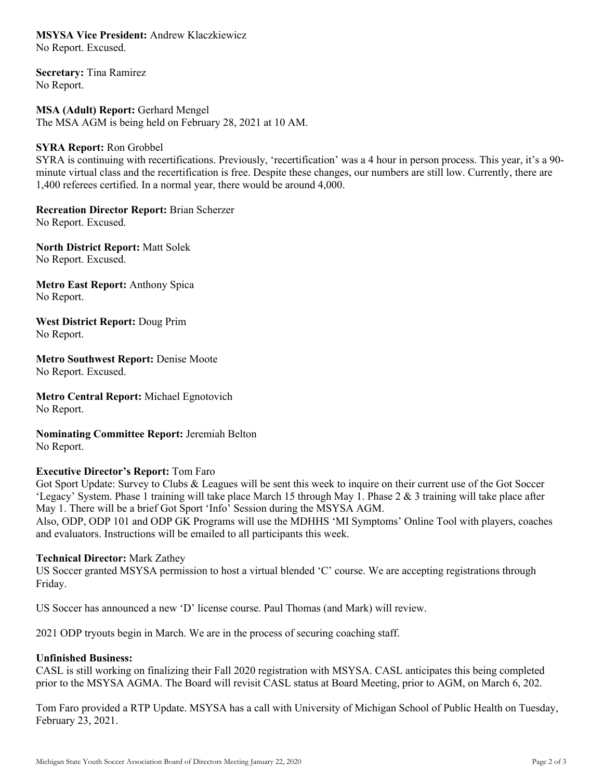**MSYSA Vice President:** Andrew Klaczkiewicz No Report. Excused.

**Secretary:** Tina Ramirez No Report.

**MSA (Adult) Report:** Gerhard Mengel The MSA AGM is being held on February 28, 2021 at 10 AM.

#### **SYRA Report:** Ron Grobbel

SYRA is continuing with recertifications. Previously, 'recertification' was a 4 hour in person process. This year, it's a 90 minute virtual class and the recertification is free. Despite these changes, our numbers are still low. Currently, there are 1,400 referees certified. In a normal year, there would be around 4,000.

**Recreation Director Report:** Brian Scherzer

No Report. Excused.

**North District Report:** Matt Solek No Report. Excused.

**Metro East Report:** Anthony Spica No Report.

**West District Report:** Doug Prim No Report.

**Metro Southwest Report:** Denise Moote No Report. Excused.

**Metro Central Report:** Michael Egnotovich No Report.

**Nominating Committee Report:** Jeremiah Belton No Report.

## **Executive Director's Report:** Tom Faro

Got Sport Update: Survey to Clubs & Leagues will be sent this week to inquire on their current use of the Got Soccer 'Legacy' System. Phase 1 training will take place March 15 through May 1. Phase 2 & 3 training will take place after May 1. There will be a brief Got Sport 'Info' Session during the MSYSA AGM.

Also, ODP, ODP 101 and ODP GK Programs will use the MDHHS 'MI Symptoms' Online Tool with players, coaches and evaluators. Instructions will be emailed to all participants this week.

## **Technical Director:** Mark Zathey

US Soccer granted MSYSA permission to host a virtual blended 'C' course. We are accepting registrations through Friday.

US Soccer has announced a new 'D' license course. Paul Thomas (and Mark) will review.

2021 ODP tryouts begin in March. We are in the process of securing coaching staff.

## **Unfinished Business:**

CASL is still working on finalizing their Fall 2020 registration with MSYSA. CASL anticipates this being completed prior to the MSYSA AGMA. The Board will revisit CASL status at Board Meeting, prior to AGM, on March 6, 202.

Tom Faro provided a RTP Update. MSYSA has a call with University of Michigan School of Public Health on Tuesday, February 23, 2021.